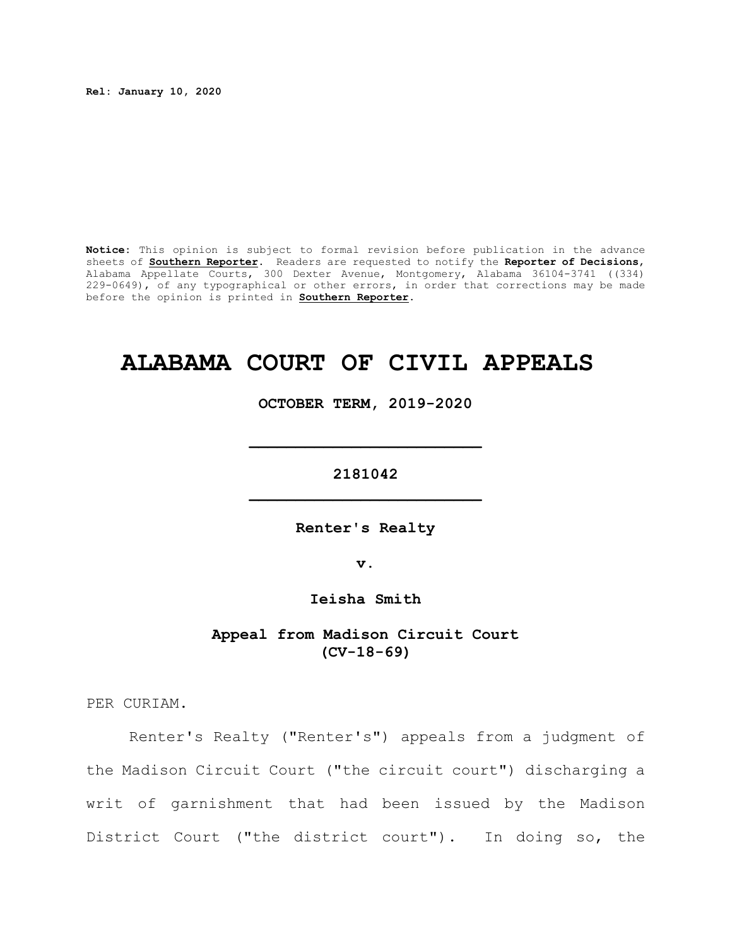**Rel: January 10, 2020**

**Notice:** This opinion is subject to formal revision before publication in the advance sheets of **Southern Reporter**. Readers are requested to notify the **Reporter of Decisions**, Alabama Appellate Courts, 300 Dexter Avenue, Montgomery, Alabama 36104-3741 ((334) 229-0649), of any typographical or other errors, in order that corrections may be made before the opinion is printed in **Southern Reporter**.

# **ALABAMA COURT OF CIVIL APPEALS**

**OCTOBER TERM, 2019-2020**

**\_\_\_\_\_\_\_\_\_\_\_\_\_\_\_\_\_\_\_\_\_\_\_\_\_**

**2181042 \_\_\_\_\_\_\_\_\_\_\_\_\_\_\_\_\_\_\_\_\_\_\_\_\_**

**Renter's Realty**

**v.**

**Ieisha Smith**

**Appeal from Madison Circuit Court (CV-18-69)**

PER CURIAM.

Renter's Realty ("Renter's") appeals from a judgment of the Madison Circuit Court ("the circuit court") discharging a writ of garnishment that had been issued by the Madison District Court ("the district court"). In doing so, the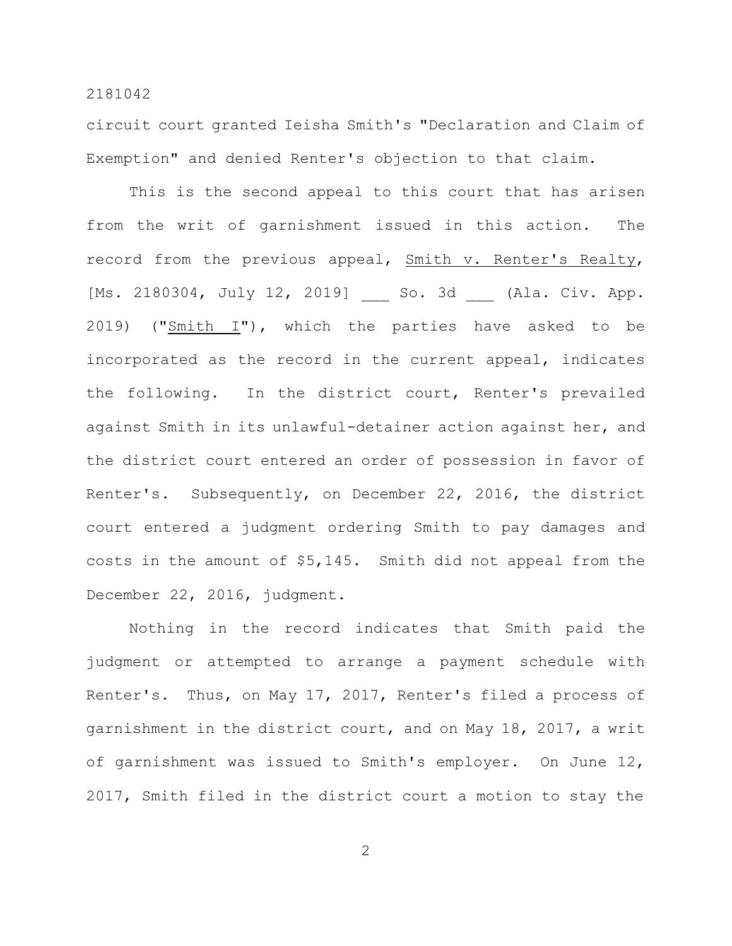circuit court granted Ieisha Smith's "Declaration and Claim of Exemption" and denied Renter's objection to that claim.

This is the second appeal to this court that has arisen from the writ of garnishment issued in this action. The record from the previous appeal, Smith v. Renter's Realty, [Ms. 2180304, July 12, 2019] So. 3d (Ala. Civ. App. 2019) (" $Smith I"$ ), which the parties have asked to be incorporated as the record in the current appeal, indicates the following. In the district court, Renter's prevailed against Smith in its unlawful-detainer action against her, and the district court entered an order of possession in favor of Renter's. Subsequently, on December 22, 2016, the district court entered a judgment ordering Smith to pay damages and costs in the amount of \$5,145. Smith did not appeal from the December 22, 2016, judgment.

Nothing in the record indicates that Smith paid the judgment or attempted to arrange a payment schedule with Renter's. Thus, on May 17, 2017, Renter's filed a process of garnishment in the district court, and on May 18, 2017, a writ of garnishment was issued to Smith's employer. On June 12, 2017, Smith filed in the district court a motion to stay the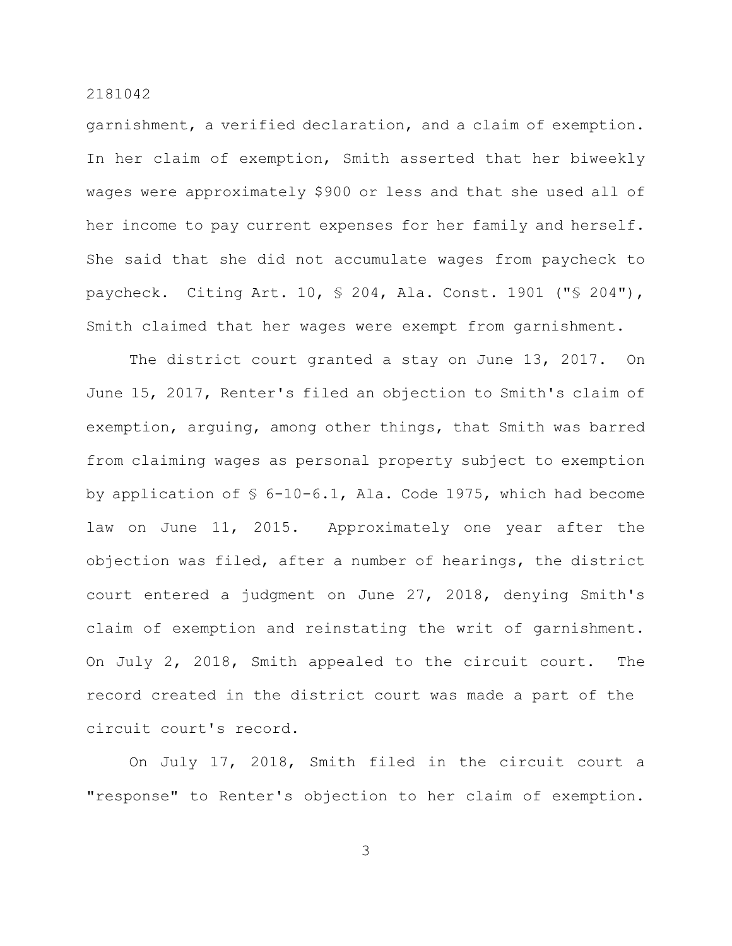garnishment, a verified declaration, and a claim of exemption. In her claim of exemption, Smith asserted that her biweekly wages were approximately \$900 or less and that she used all of her income to pay current expenses for her family and herself. She said that she did not accumulate wages from paycheck to paycheck. Citing Art. 10, § 204, Ala. Const. 1901 ("§ 204"), Smith claimed that her wages were exempt from garnishment.

The district court granted a stay on June 13, 2017. On June 15, 2017, Renter's filed an objection to Smith's claim of exemption, arguing, among other things, that Smith was barred from claiming wages as personal property subject to exemption by application of § 6-10-6.1, Ala. Code 1975, which had become law on June 11, 2015. Approximately one year after the objection was filed, after a number of hearings, the district court entered a judgment on June 27, 2018, denying Smith's claim of exemption and reinstating the writ of garnishment. On July 2, 2018, Smith appealed to the circuit court. The record created in the district court was made a part of the circuit court's record.

On July 17, 2018, Smith filed in the circuit court a "response" to Renter's objection to her claim of exemption.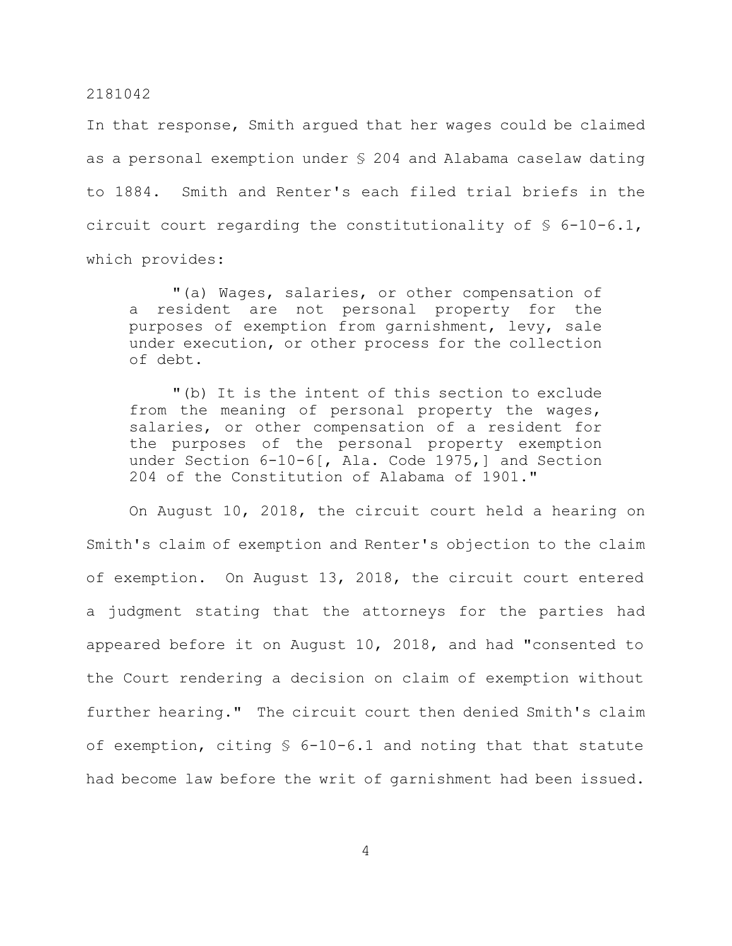In that response, Smith argued that her wages could be claimed as a personal exemption under § 204 and Alabama caselaw dating to 1884. Smith and Renter's each filed trial briefs in the circuit court regarding the constitutionality of § 6-10-6.1, which provides:

"(a) Wages, salaries, or other compensation of a resident are not personal property for the purposes of exemption from garnishment, levy, sale under execution, or other process for the collection of debt.

"(b) It is the intent of this section to exclude from the meaning of personal property the wages, salaries, or other compensation of a resident for the purposes of the personal property exemption under Section 6-10-6[, Ala. Code 1975,] and Section 204 of the Constitution of Alabama of 1901."

On August 10, 2018, the circuit court held a hearing on Smith's claim of exemption and Renter's objection to the claim of exemption. On August 13, 2018, the circuit court entered a judgment stating that the attorneys for the parties had appeared before it on August 10, 2018, and had "consented to the Court rendering a decision on claim of exemption without further hearing." The circuit court then denied Smith's claim of exemption, citing § 6-10-6.1 and noting that that statute had become law before the writ of garnishment had been issued.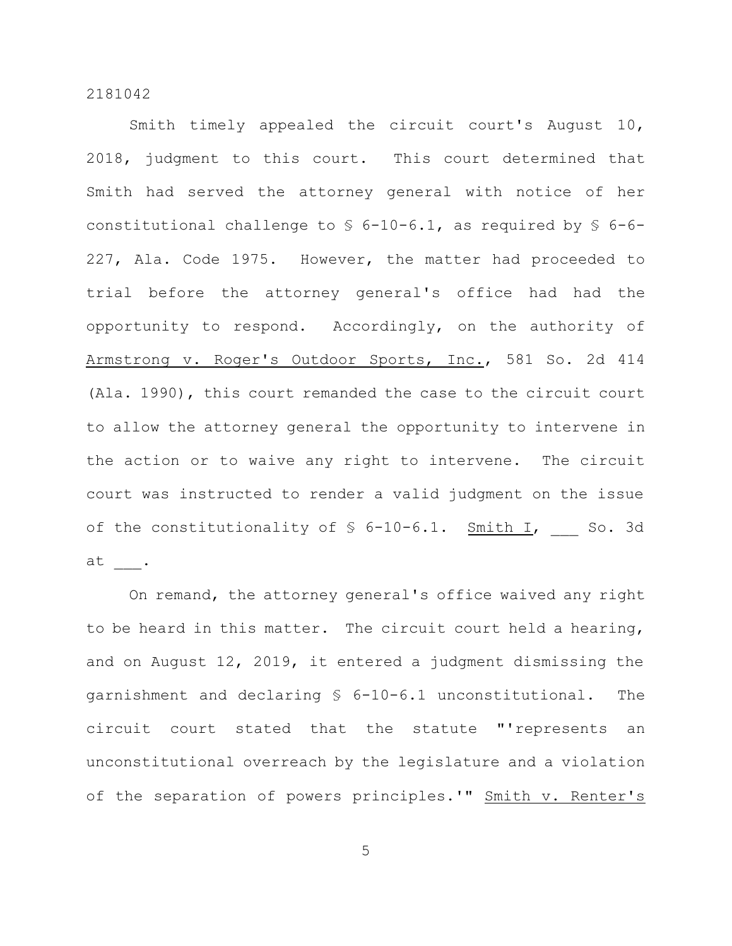Smith timely appealed the circuit court's August 10, 2018, judgment to this court. This court determined that Smith had served the attorney general with notice of her constitutional challenge to § 6-10-6.1, as required by § 6-6- 227, Ala. Code 1975. However, the matter had proceeded to trial before the attorney general's office had had the opportunity to respond. Accordingly, on the authority of Armstrong v. Roger's Outdoor Sports, Inc., 581 So. 2d 414 (Ala. 1990), this court remanded the case to the circuit court to allow the attorney general the opportunity to intervene in the action or to waive any right to intervene. The circuit court was instructed to render a valid judgment on the issue of the constitutionality of  $S$  6-10-6.1. Smith I, So. 3d at \_\_\_.

On remand, the attorney general's office waived any right to be heard in this matter. The circuit court held a hearing, and on August 12, 2019, it entered a judgment dismissing the garnishment and declaring § 6-10-6.1 unconstitutional. The circuit court stated that the statute "'represents an unconstitutional overreach by the legislature and a violation of the separation of powers principles.'" Smith v. Renter's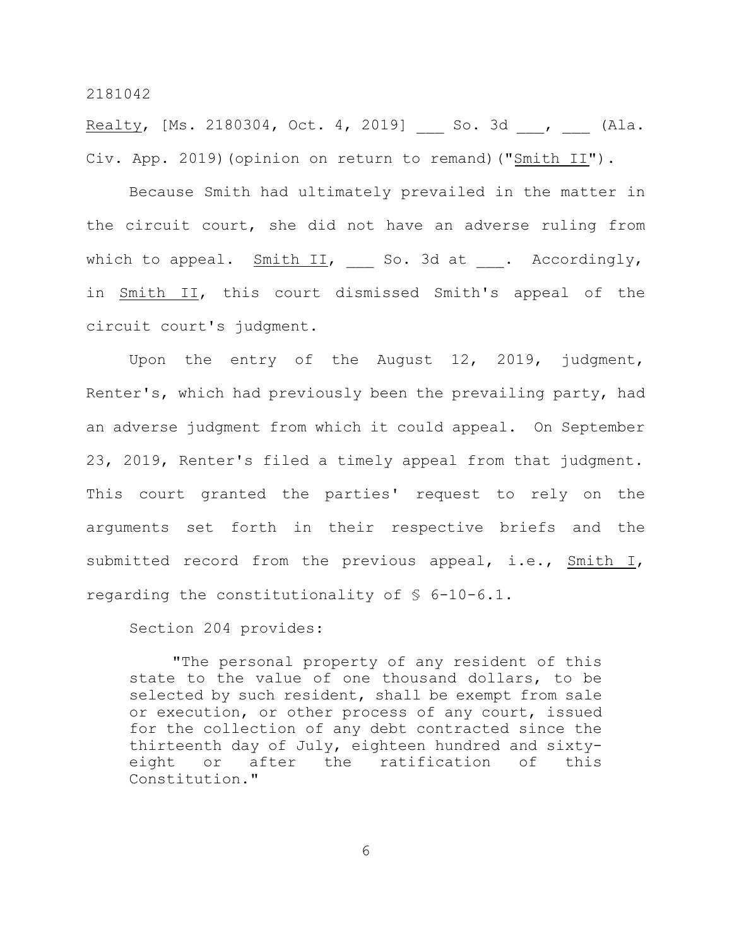Realty, [Ms. 2180304, Oct. 4, 2019] \_\_ So. 3d \_\_\_, \_\_\_ (Ala. Civ. App. 2019)(opinion on return to remand)("Smith II").

Because Smith had ultimately prevailed in the matter in the circuit court, she did not have an adverse ruling from which to appeal.  $Smith II$ , So. 3d at . Accordingly, in Smith II, this court dismissed Smith's appeal of the circuit court's judgment.

Upon the entry of the August 12, 2019, judgment, Renter's, which had previously been the prevailing party, had an adverse judgment from which it could appeal. On September 23, 2019, Renter's filed a timely appeal from that judgment. This court granted the parties' request to rely on the arguments set forth in their respective briefs and the submitted record from the previous appeal, i.e., Smith I, regarding the constitutionality of § 6-10-6.1.

Section 204 provides:

"The personal property of any resident of this state to the value of one thousand dollars, to be selected by such resident, shall be exempt from sale or execution, or other process of any court, issued for the collection of any debt contracted since the thirteenth day of July, eighteen hundred and sixtyeight or after the ratification of this Constitution."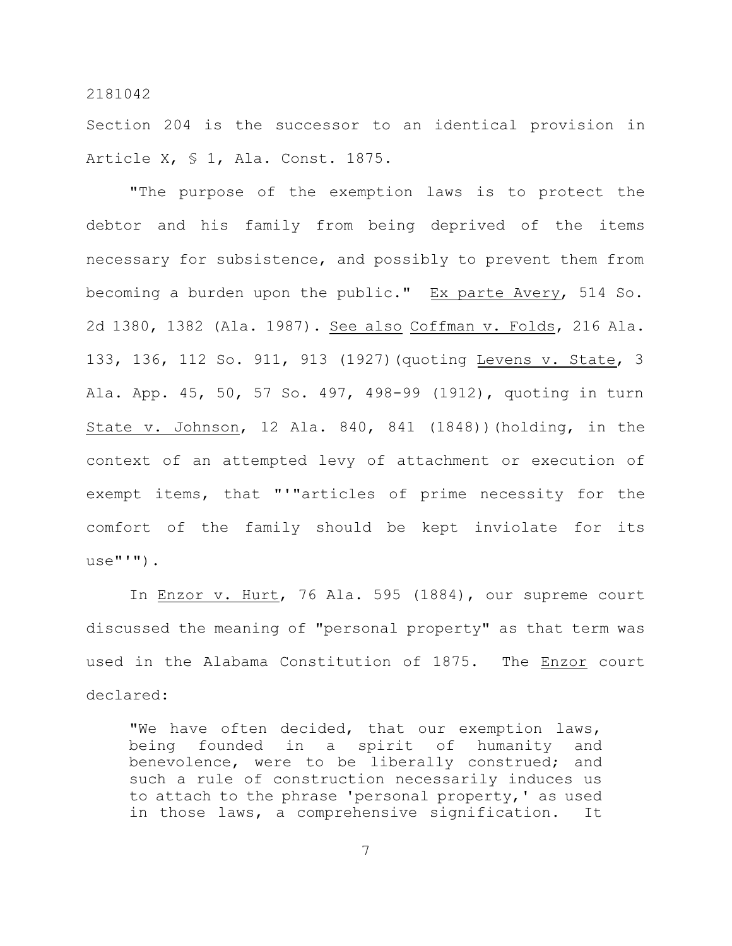Section 204 is the successor to an identical provision in Article X, § 1, Ala. Const. 1875.

"The purpose of the exemption laws is to protect the debtor and his family from being deprived of the items necessary for subsistence, and possibly to prevent them from becoming a burden upon the public." Ex parte Avery, 514 So. 2d 1380, 1382 (Ala. 1987). See also Coffman v. Folds, 216 Ala. 133, 136, 112 So. 911, 913 (1927)(quoting Levens v. State, 3 Ala. App. 45, 50, 57 So. 497, 498-99 (1912), quoting in turn State v. Johnson, 12 Ala. 840, 841 (1848))(holding, in the context of an attempted levy of attachment or execution of exempt items, that "'"articles of prime necessity for the comfort of the family should be kept inviolate for its  $use$ "'").

In Enzor v. Hurt, 76 Ala. 595 (1884), our supreme court discussed the meaning of "personal property" as that term was used in the Alabama Constitution of 1875. The Enzor court declared:

"We have often decided, that our exemption laws, being founded in a spirit of humanity and benevolence, were to be liberally construed; and such a rule of construction necessarily induces us to attach to the phrase 'personal property,' as used in those laws, a comprehensive signification. It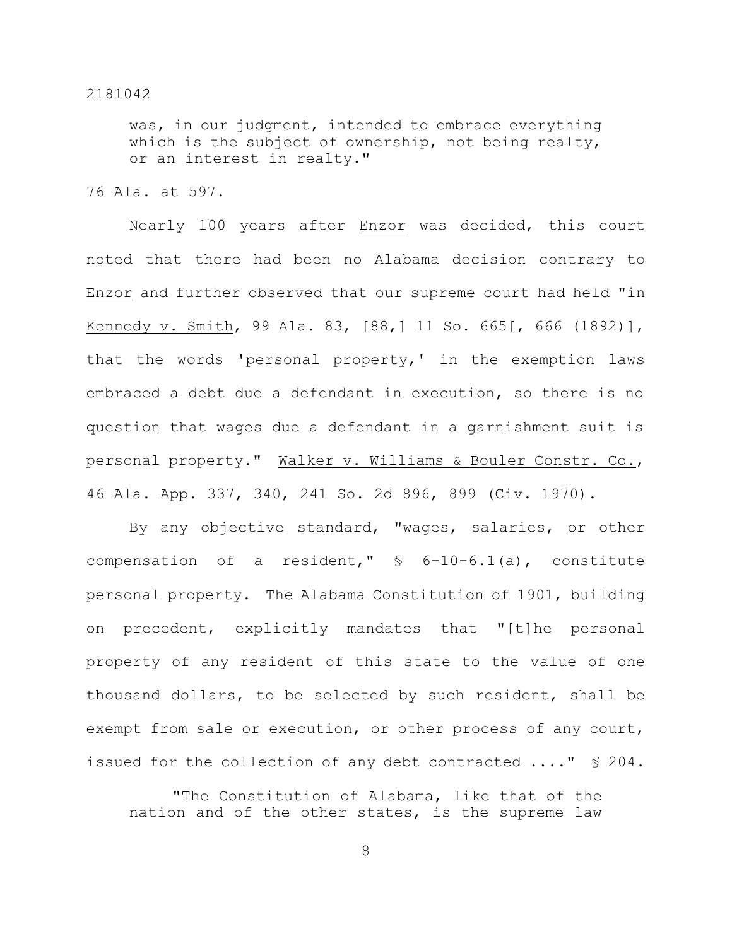was, in our judgment, intended to embrace everything which is the subject of ownership, not being realty, or an interest in realty."

## 76 Ala. at 597.

Nearly 100 years after Enzor was decided, this court noted that there had been no Alabama decision contrary to Enzor and further observed that our supreme court had held "in Kennedy v. Smith, 99 Ala. 83, [88,] 11 So. 665[, 666 (1892)], that the words 'personal property,' in the exemption laws embraced a debt due a defendant in execution, so there is no question that wages due a defendant in a garnishment suit is personal property." Walker v. Williams & Bouler Constr. Co., 46 Ala. App. 337, 340, 241 So. 2d 896, 899 (Civ. 1970).

By any objective standard, "wages, salaries, or other compensation of a resident,"  $\frac{1}{2}$  6-10-6.1(a), constitute personal property. The Alabama Constitution of 1901, building on precedent, explicitly mandates that "[t]he personal property of any resident of this state to the value of one thousand dollars, to be selected by such resident, shall be exempt from sale or execution, or other process of any court, issued for the collection of any debt contracted ...." § 204.

"The Constitution of Alabama, like that of the nation and of the other states, is the supreme law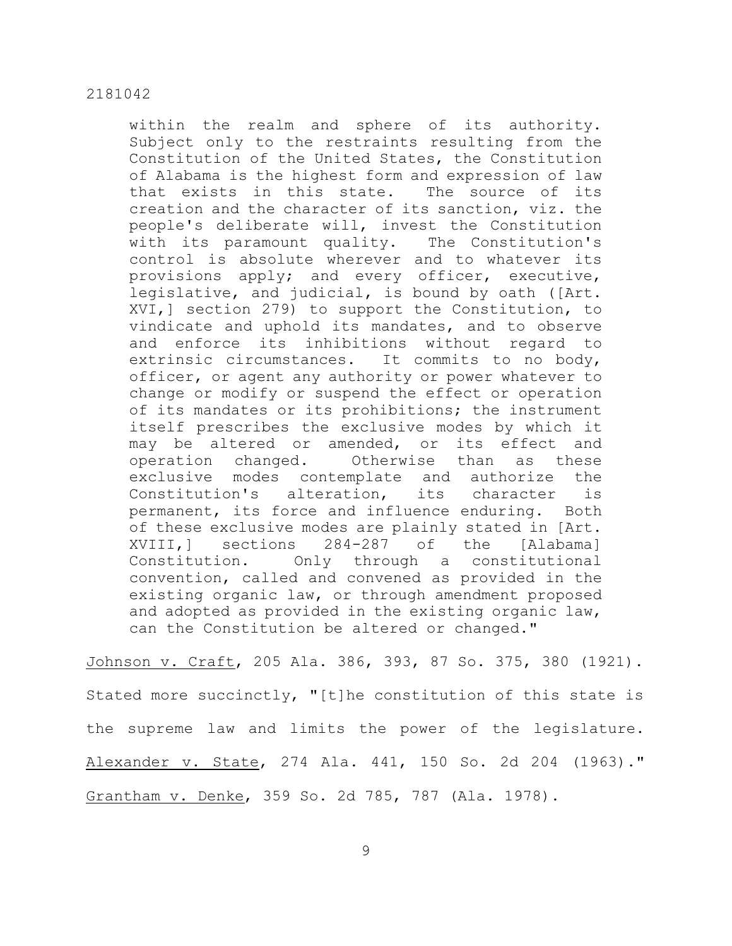within the realm and sphere of its authority. Subject only to the restraints resulting from the Constitution of the United States, the Constitution of Alabama is the highest form and expression of law that exists in this state. The source of its creation and the character of its sanction, viz. the people's deliberate will, invest the Constitution with its paramount quality. The Constitution's control is absolute wherever and to whatever its provisions apply; and every officer, executive, legislative, and judicial, is bound by oath ([Art. XVI,] section 279) to support the Constitution, to vindicate and uphold its mandates, and to observe and enforce its inhibitions without regard to extrinsic circumstances. It commits to no body, officer, or agent any authority or power whatever to change or modify or suspend the effect or operation of its mandates or its prohibitions; the instrument itself prescribes the exclusive modes by which it may be altered or amended, or its effect and operation changed. Otherwise than as these exclusive modes contemplate and authorize the Constitution's alteration, its character is permanent, its force and influence enduring. Both of these exclusive modes are plainly stated in [Art. XVIII,] sections 284-287 of the [Alabama] Constitution. Only through a constitutional convention, called and convened as provided in the existing organic law, or through amendment proposed and adopted as provided in the existing organic law, can the Constitution be altered or changed."

Johnson v. Craft, 205 Ala. 386, 393, 87 So. 375, 380 (1921). Stated more succinctly, "[t]he constitution of this state is the supreme law and limits the power of the legislature. Alexander v. State, 274 Ala. 441, 150 So. 2d 204 (1963)." Grantham v. Denke, 359 So. 2d 785, 787 (Ala. 1978).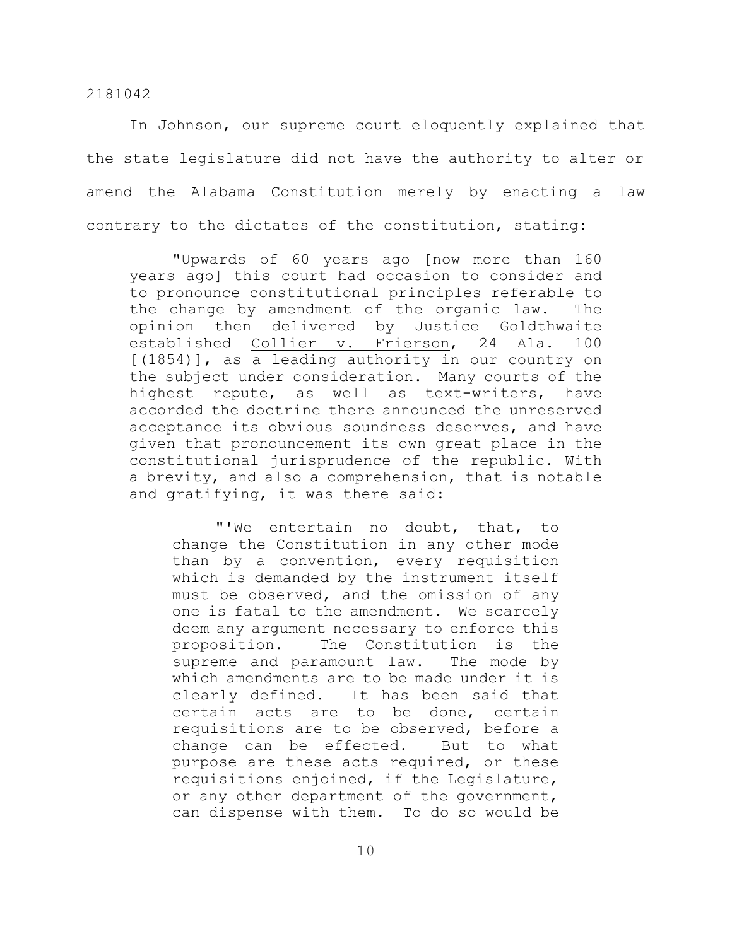In Johnson, our supreme court eloquently explained that the state legislature did not have the authority to alter or amend the Alabama Constitution merely by enacting a law contrary to the dictates of the constitution, stating:

"Upwards of 60 years ago [now more than 160 years ago] this court had occasion to consider and to pronounce constitutional principles referable to the change by amendment of the organic law. The opinion then delivered by Justice Goldthwaite established Collier v. Frierson, 24 Ala. 100 [(1854)], as a leading authority in our country on the subject under consideration. Many courts of the highest repute, as well as text-writers, have accorded the doctrine there announced the unreserved acceptance its obvious soundness deserves, and have given that pronouncement its own great place in the constitutional jurisprudence of the republic. With a brevity, and also a comprehension, that is notable and gratifying, it was there said:

"'We entertain no doubt, that, to change the Constitution in any other mode than by a convention, every requisition which is demanded by the instrument itself must be observed, and the omission of any one is fatal to the amendment. We scarcely deem any argument necessary to enforce this proposition. The Constitution is the supreme and paramount law. The mode by which amendments are to be made under it is clearly defined. It has been said that certain acts are to be done, certain requisitions are to be observed, before a change can be effected. But to what purpose are these acts required, or these requisitions enjoined, if the Legislature, or any other department of the government, can dispense with them. To do so would be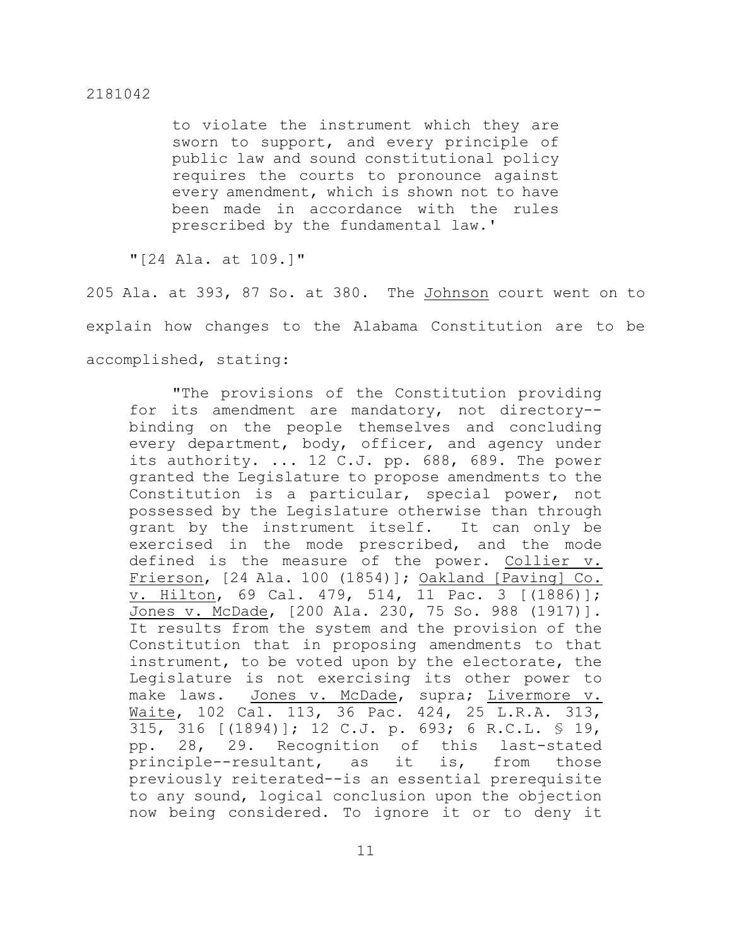to violate the instrument which they are sworn to support, and every principle of public law and sound constitutional policy requires the courts to pronounce against every amendment, which is shown not to have been made in accordance with the rules prescribed by the fundamental law.'

"[24 Ala. at 109.]"

205 Ala. at 393, 87 So. at 380. The Johnson court went on to explain how changes to the Alabama Constitution are to be accomplished, stating:

"The provisions of the Constitution providing for its amendment are mandatory, not directory- binding on the people themselves and concluding every department, body, officer, and agency under its authority. ... 12 C.J. pp. 688, 689. The power granted the Legislature to propose amendments to the Constitution is a particular, special power, not possessed by the Legislature otherwise than through grant by the instrument itself. It can only be exercised in the mode prescribed, and the mode defined is the measure of the power. Collier v. Frierson, [24 Ala. 100 (1854)]; Oakland [Paving] Co. v. Hilton, 69 Cal. 479, 514, 11 Pac. 3 [(1886)]; Jones v. McDade, [200 Ala. 230, 75 So. 988 (1917)]. It results from the system and the provision of the Constitution that in proposing amendments to that instrument, to be voted upon by the electorate, the Legislature is not exercising its other power to make laws. Jones v. McDade, supra; Livermore v. Waite, 102 Cal. 113, 36 Pac. 424, 25 L.R.A. 313, 315, 316 [(1894)]; 12 C.J. p. 693; 6 R.C.L. § 19, pp. 28, 29. Recognition of this last-stated principle--resultant, as it is, from those previously reiterated--is an essential prerequisite to any sound, logical conclusion upon the objection now being considered. To ignore it or to deny it